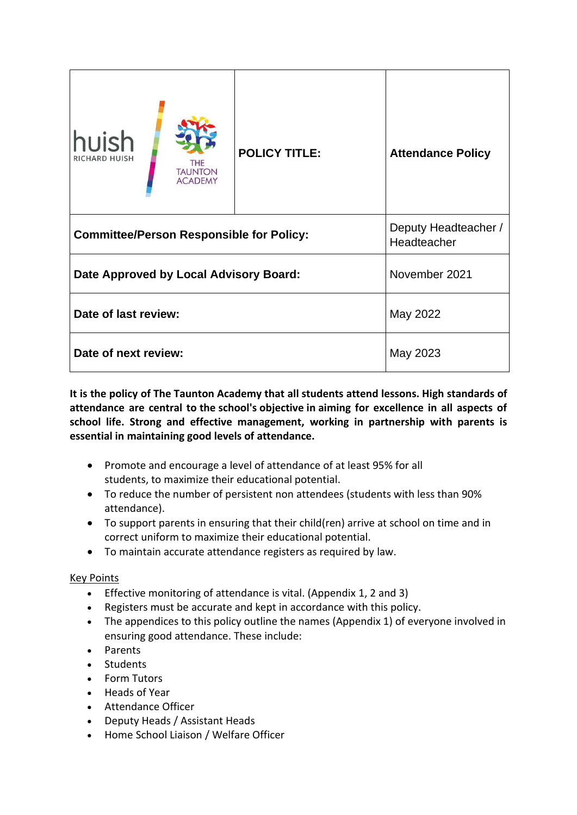| huish<br><b>RICHARD HUISH</b><br><b>THE</b><br><b>TAUNTON</b><br><b>ACADEMY</b> | <b>POLICY TITLE:</b> | <b>Attendance Policy</b>            |
|---------------------------------------------------------------------------------|----------------------|-------------------------------------|
| <b>Committee/Person Responsible for Policy:</b>                                 |                      | Deputy Headteacher /<br>Headteacher |
| Date Approved by Local Advisory Board:                                          |                      | November 2021                       |
| Date of last review:                                                            |                      | May 2022                            |
| Date of next review:                                                            |                      | May 2023                            |

**It is the policy of The Taunton Academy that all students attend lessons. High standards of attendance are central to the school's objective in aiming for excellence in all aspects of school life. Strong and effective management, working in partnership with parents is essential in maintaining good levels of attendance.**

- Promote and encourage a level of attendance of at least 95% for all students, to maximize their educational potential.
- To reduce the number of persistent non attendees (students with less than 90% attendance).
- To support parents in ensuring that their child(ren) arrive at school on time and in correct uniform to maximize their educational potential.
- To maintain accurate attendance registers as required by law.

### Key Points

- Effective monitoring of attendance is vital. (Appendix 1, 2 and 3)
- Registers must be accurate and kept in accordance with this policy.
- The appendices to this policy outline the names (Appendix 1) of everyone involved in ensuring good attendance. These include:
- Parents
- Students
- Form Tutors
- Heads of Year
- Attendance Officer
- Deputy Heads / Assistant Heads
- Home School Liaison / Welfare Officer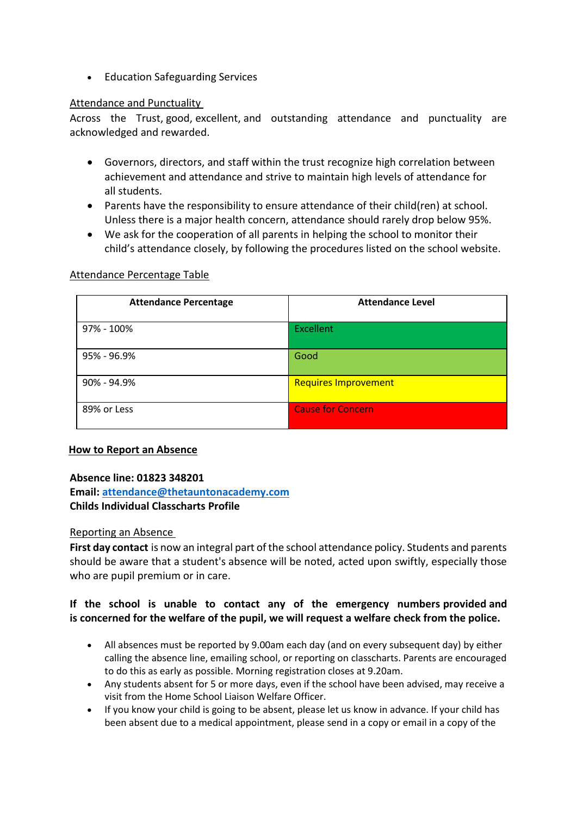• Education Safeguarding Services

### Attendance and Punctuality

Across the Trust, good, excellent, and outstanding attendance and punctuality are acknowledged and rewarded.

- Governors, directors, and staff within the trust recognize high correlation between achievement and attendance and strive to maintain high levels of attendance for all students.
- Parents have the responsibility to ensure attendance of their child(ren) at school. Unless there is a major health concern, attendance should rarely drop below 95%.
- We ask for the cooperation of all parents in helping the school to monitor their child's attendance closely, by following the procedures listed on the school website.

### Attendance Percentage Table

| <b>Attendance Percentage</b> | <b>Attendance Level</b>     |
|------------------------------|-----------------------------|
| 97% - 100%                   | <b>Excellent</b>            |
| 95% - 96.9%                  | Good                        |
| 90% - 94.9%                  | <b>Requires Improvement</b> |
| 89% or Less                  | <b>Cause for Concern</b>    |

### **How to Report an Absence**

### **Absence line: 01823 348201**

**Email: [attendance@thetauntonacademy.com](mailto:attendance@thetauntonacademy.com) Childs Individual Classcharts Profile**

### Reporting an Absence

**First day contact** is now an integral part of the school attendance policy. Students and parents should be aware that a student's absence will be noted, acted upon swiftly, especially those who are pupil premium or in care.

### **If the school is unable to contact any of the emergency numbers provided and is concerned for the welfare of the pupil, we will request a welfare check from the police.**

- All absences must be reported by 9.00am each day (and on every subsequent day) by either calling the absence line, emailing school, or reporting on classcharts. Parents are encouraged to do this as early as possible. Morning registration closes at 9.20am.
- Any students absent for 5 or more days, even if the school have been advised, may receive a visit from the Home School Liaison Welfare Officer.
- If you know your child is going to be absent, please let us know in advance. If your child has been absent due to a medical appointment, please send in a copy or email in a copy of the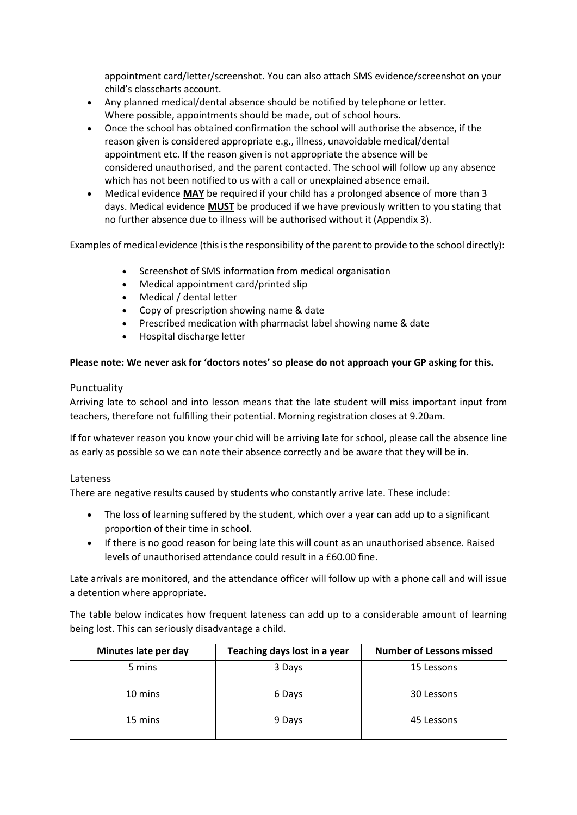appointment card/letter/screenshot. You can also attach SMS evidence/screenshot on your child's classcharts account.

- Any planned medical/dental absence should be notified by telephone or letter. Where possible, appointments should be made, out of school hours.
- Once the school has obtained confirmation the school will authorise the absence, if the reason given is considered appropriate e.g., illness, unavoidable medical/dental appointment etc. If the reason given is not appropriate the absence will be considered unauthorised, and the parent contacted. The school will follow up any absence which has not been notified to us with a call or unexplained absence email.
- Medical evidence **MAY** be required if your child has a prolonged absence of more than 3 days. Medical evidence **MUST** be produced if we have previously written to you stating that no further absence due to illness will be authorised without it (Appendix 3).

Examples of medical evidence (this is the responsibility of the parent to provide to the school directly):

- Screenshot of SMS information from medical organisation
- Medical appointment card/printed slip
- Medical / dental letter
- Copy of prescription showing name & date
- Prescribed medication with pharmacist label showing name & date
- Hospital discharge letter

### **Please note: We never ask for 'doctors notes' so please do not approach your GP asking for this.**

### Punctuality

Arriving late to school and into lesson means that the late student will miss important input from teachers, therefore not fulfilling their potential. Morning registration closes at 9.20am.

If for whatever reason you know your chid will be arriving late for school, please call the absence line as early as possible so we can note their absence correctly and be aware that they will be in.

### Lateness

There are negative results caused by students who constantly arrive late. These include:

- The loss of learning suffered by the student, which over a year can add up to a significant proportion of their time in school.
- If there is no good reason for being late this will count as an unauthorised absence. Raised levels of unauthorised attendance could result in a £60.00 fine.

Late arrivals are monitored, and the attendance officer will follow up with a phone call and will issue a detention where appropriate.

The table below indicates how frequent lateness can add up to a considerable amount of learning being lost. This can seriously disadvantage a child.

| Minutes late per day | Teaching days lost in a year | <b>Number of Lessons missed</b> |
|----------------------|------------------------------|---------------------------------|
| 5 mins               | 3 Days                       | 15 Lessons                      |
| 10 mins              | 6 Days                       | 30 Lessons                      |
| 15 mins              | 9 Days                       | 45 Lessons                      |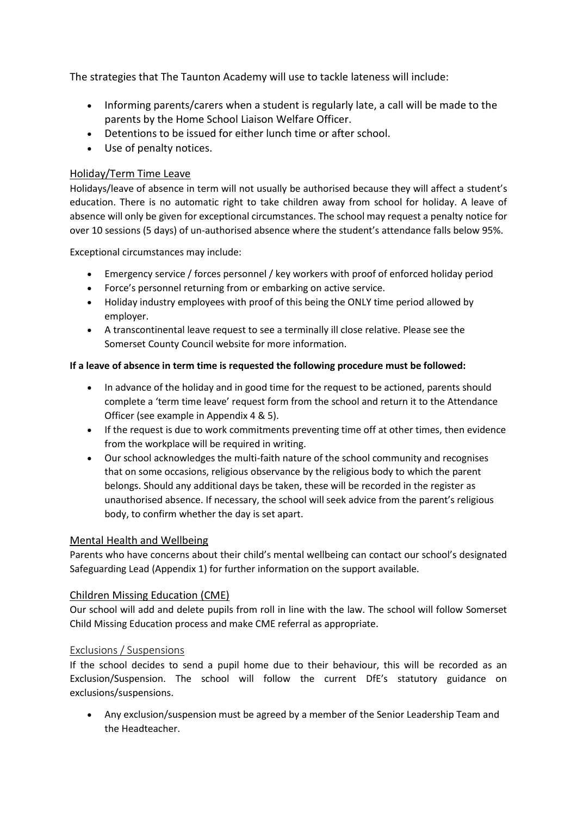The strategies that The Taunton Academy will use to tackle lateness will include:

- Informing parents/carers when a student is regularly late, a call will be made to the parents by the Home School Liaison Welfare Officer.
- Detentions to be issued for either lunch time or after school.
- Use of penalty notices.

### Holiday/Term Time Leave

Holidays/leave of absence in term will not usually be authorised because they will affect a student's education. There is no automatic right to take children away from school for holiday. A leave of absence will only be given for exceptional circumstances. The school may request a penalty notice for over 10 sessions (5 days) of un-authorised absence where the student's attendance falls below 95%.

Exceptional circumstances may include:

- Emergency service / forces personnel / key workers with proof of enforced holiday period
- Force's personnel returning from or embarking on active service.
- Holiday industry employees with proof of this being the ONLY time period allowed by employer.
- A transcontinental leave request to see a terminally ill close relative. Please see the Somerset County Council website for more information.

### **If a leave of absence in term time is requested the following procedure must be followed:**

- In advance of the holiday and in good time for the request to be actioned, parents should complete a 'term time leave' request form from the school and return it to the Attendance Officer (see example in Appendix 4 & 5).
- If the request is due to work commitments preventing time off at other times, then evidence from the workplace will be required in writing.
- Our school acknowledges the multi-faith nature of the school community and recognises that on some occasions, religious observance by the religious body to which the parent belongs. Should any additional days be taken, these will be recorded in the register as unauthorised absence. If necessary, the school will seek advice from the parent's religious body, to confirm whether the day is set apart.

### Mental Health and Wellbeing

Parents who have concerns about their child's mental wellbeing can contact our school's designated Safeguarding Lead (Appendix 1) for further information on the support available.

### Children Missing Education (CME)

Our school will add and delete pupils from roll in line with the law. The school will follow Somerset Child Missing Education process and make CME referral as appropriate.

### Exclusions / Suspensions

If the school decides to send a pupil home due to their behaviour, this will be recorded as an Exclusion/Suspension. The school will follow the current DfE's statutory guidance on exclusions/suspensions.

• Any exclusion/suspension must be agreed by a member of the Senior Leadership Team and the Headteacher.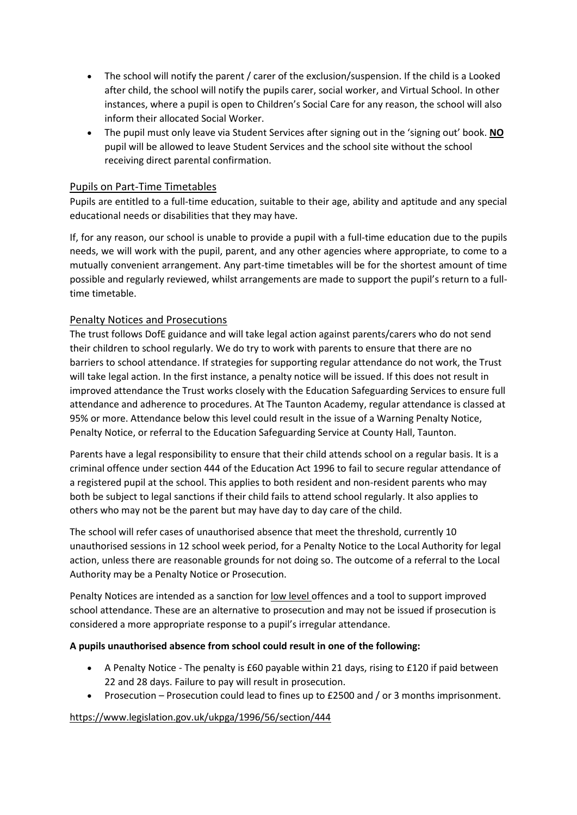- The school will notify the parent / carer of the exclusion/suspension. If the child is a Looked after child, the school will notify the pupils carer, social worker, and Virtual School. In other instances, where a pupil is open to Children's Social Care for any reason, the school will also inform their allocated Social Worker.
- The pupil must only leave via Student Services after signing out in the 'signing out' book. **NO** pupil will be allowed to leave Student Services and the school site without the school receiving direct parental confirmation.

### Pupils on Part-Time Timetables

Pupils are entitled to a full-time education, suitable to their age, ability and aptitude and any special educational needs or disabilities that they may have.

If, for any reason, our school is unable to provide a pupil with a full-time education due to the pupils needs, we will work with the pupil, parent, and any other agencies where appropriate, to come to a mutually convenient arrangement. Any part-time timetables will be for the shortest amount of time possible and regularly reviewed, whilst arrangements are made to support the pupil's return to a fulltime timetable.

### Penalty Notices and Prosecutions

The trust follows DofE guidance and will take legal action against parents/carers who do not send their children to school regularly. We do try to work with parents to ensure that there are no barriers to school attendance. If strategies for supporting regular attendance do not work, the Trust will take legal action. In the first instance, a penalty notice will be issued. If this does not result in improved attendance the Trust works closely with the Education Safeguarding Services to ensure full attendance and adherence to procedures. At The Taunton Academy, regular attendance is classed at 95% or more. Attendance below this level could result in the issue of a Warning Penalty Notice, Penalty Notice, or referral to the Education Safeguarding Service at County Hall, Taunton.

Parents have a legal responsibility to ensure that their child attends school on a regular basis. It is a criminal offence under section 444 of the Education Act 1996 to fail to secure regular attendance of a registered pupil at the school. This applies to both resident and non-resident parents who may both be subject to legal sanctions if their child fails to attend school regularly. It also applies to others who may not be the parent but may have day to day care of the child.

The school will refer cases of unauthorised absence that meet the threshold, currently 10 unauthorised sessions in 12 school week period, for a Penalty Notice to the Local Authority for legal action, unless there are reasonable grounds for not doing so. The outcome of a referral to the Local Authority may be a Penalty Notice or Prosecution.

Penalty Notices are intended as a sanction for low level offences and a tool to support improved school attendance. These are an alternative to prosecution and may not be issued if prosecution is considered a more appropriate response to a pupil's irregular attendance.

### **A pupils unauthorised absence from school could result in one of the following:**

- A Penalty Notice The penalty is £60 payable within 21 days, rising to £120 if paid between 22 and 28 days. Failure to pay will result in prosecution.
- Prosecution Prosecution could lead to fines up to £2500 and / or 3 months imprisonment.

### <https://www.legislation.gov.uk/ukpga/1996/56/section/444>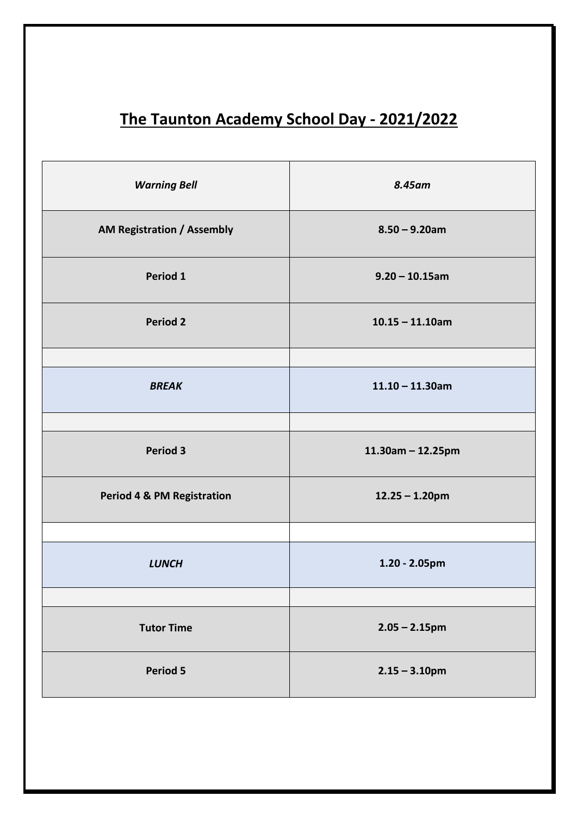# **The Taunton Academy School Day - 2021/2022**

| <b>Warning Bell</b>                   | 8.45am               |
|---------------------------------------|----------------------|
| <b>AM Registration / Assembly</b>     | $8.50 - 9.20$ am     |
| Period 1                              | $9.20 - 10.15$ am    |
| <b>Period 2</b>                       | $10.15 - 11.10$ am   |
|                                       |                      |
| <b>BREAK</b>                          | $11.10 - 11.30$ am   |
|                                       |                      |
| <b>Period 3</b>                       | $11.30$ am - 12.25pm |
| <b>Period 4 &amp; PM Registration</b> | $12.25 - 1.20$ pm    |
|                                       |                      |
| <b>LUNCH</b>                          | $1.20 - 2.05$ pm     |
|                                       |                      |
| <b>Tutor Time</b>                     | $2.05 - 2.15$ pm     |
| Period 5                              | $2.15 - 3.10$ pm     |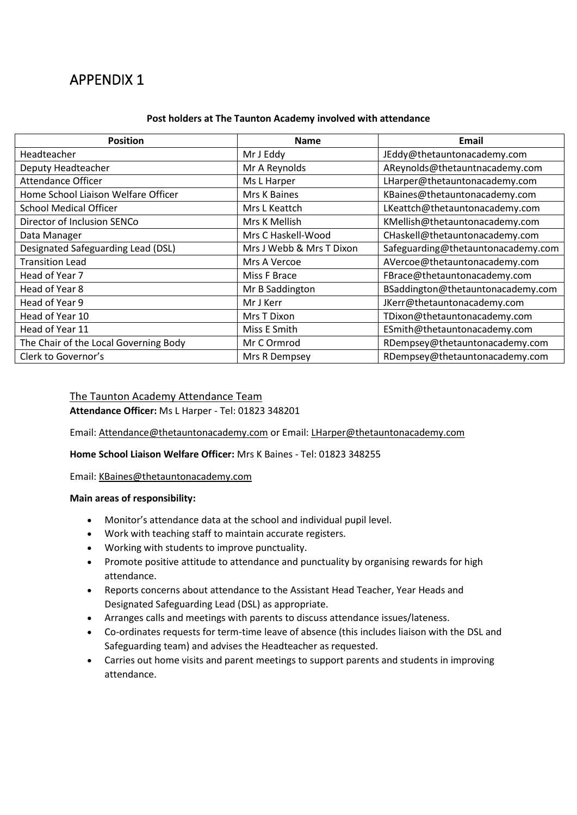### **Post holders at The Taunton Academy involved with attendance**

| <b>Position</b>                       | <b>Name</b>              | Email                              |
|---------------------------------------|--------------------------|------------------------------------|
| Headteacher                           | Mr J Eddy                | JEddy@thetauntonacademy.com        |
| Deputy Headteacher                    | Mr A Reynolds            | AReynolds@thetauntnacademy.com     |
| <b>Attendance Officer</b>             | Ms L Harper              | LHarper@thetauntonacademy.com      |
| Home School Liaison Welfare Officer   | Mrs K Baines             | KBaines@thetauntonacademy.com      |
| <b>School Medical Officer</b>         | Mrs L Keattch            | LKeattch@thetauntonacademy.com     |
| Director of Inclusion SENCo           | Mrs K Mellish            | KMellish@thetauntonacademy.com     |
| Data Manager                          | Mrs C Haskell-Wood       | CHaskell@thetauntonacademy.com     |
| Designated Safeguarding Lead (DSL)    | Mrs J Webb & Mrs T Dixon | Safeguarding@thetauntonacademy.com |
| <b>Transition Lead</b>                | Mrs A Vercoe             | AVercoe@thetauntonacademy.com      |
| Head of Year 7                        | Miss F Brace             | FBrace@thetauntonacademy.com       |
| Head of Year 8                        | Mr B Saddington          | BSaddington@thetauntonacademy.com  |
| Head of Year 9                        | Mr J Kerr                | JKerr@thetauntonacademy.com        |
| Head of Year 10                       | Mrs T Dixon              | TDixon@thetauntonacademy.com       |
| Head of Year 11                       | Miss E Smith             | ESmith@thetauntonacademy.com       |
| The Chair of the Local Governing Body | Mr C Ormrod              | RDempsey@thetauntonacademy.com     |
| Clerk to Governor's                   | Mrs R Dempsey            | RDempsey@thetauntonacademy.com     |

## The Taunton Academy Attendance Team

**Attendance Officer:** Ms L Harper - Tel: 01823 348201

Email: [Attendance@thetauntonacademy.com](mailto:Attendance@thetauntonacademy.com) or Email: [LHarper@thetauntonacademy.com](mailto:LHarper@thetauntonacademy.com)

### **Home School Liaison Welfare Officer:** Mrs K Baines - Tel: 01823 348255

Email: [KBaines@thetauntonacademy.com](mailto:KBaines@thetauntonacademy.com)

### **Main areas of responsibility:**

- Monitor's attendance data at the school and individual pupil level.
- Work with teaching staff to maintain accurate registers.
- Working with students to improve punctuality.
- Promote positive attitude to attendance and punctuality by organising rewards for high attendance.
- Reports concerns about attendance to the Assistant Head Teacher, Year Heads and Designated Safeguarding Lead (DSL) as appropriate.
- Arranges calls and meetings with parents to discuss attendance issues/lateness.
- Co-ordinates requests for term-time leave of absence (this includes liaison with the DSL and Safeguarding team) and advises the Headteacher as requested.
- Carries out home visits and parent meetings to support parents and students in improving attendance.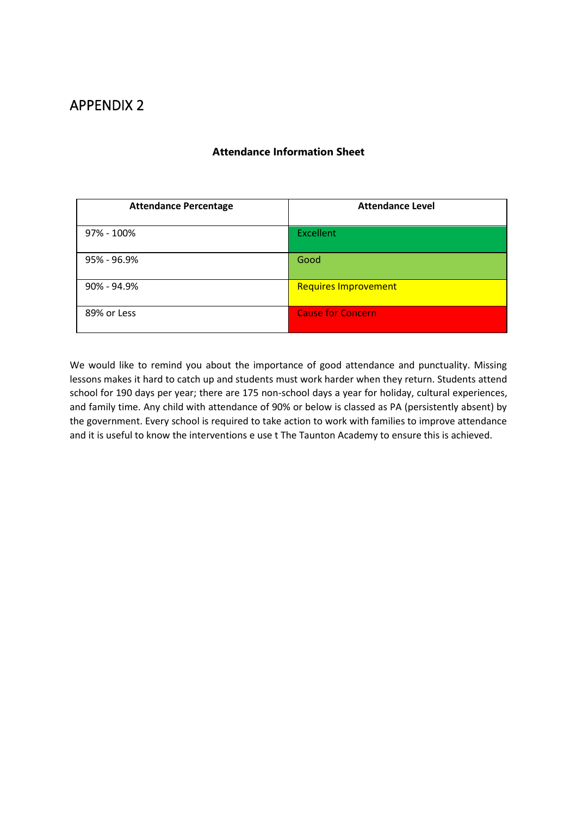| <b>Attendance Percentage</b> | <b>Attendance Level</b>     |
|------------------------------|-----------------------------|
| 97% - 100%                   | <b>Excellent</b>            |
| 95% - 96.9%                  | Good                        |
| 90% - 94.9%                  | <b>Requires Improvement</b> |
| 89% or Less                  | <b>Cause for Concern</b>    |

### **Attendance Information Sheet**

We would like to remind you about the importance of good attendance and punctuality. Missing lessons makes it hard to catch up and students must work harder when they return. Students attend school for 190 days per year; there are 175 non-school days a year for holiday, cultural experiences, and family time. Any child with attendance of 90% or below is classed as PA (persistently absent) by the government. Every school is required to take action to work with families to improve attendance and it is useful to know the interventions e use t The Taunton Academy to ensure this is achieved.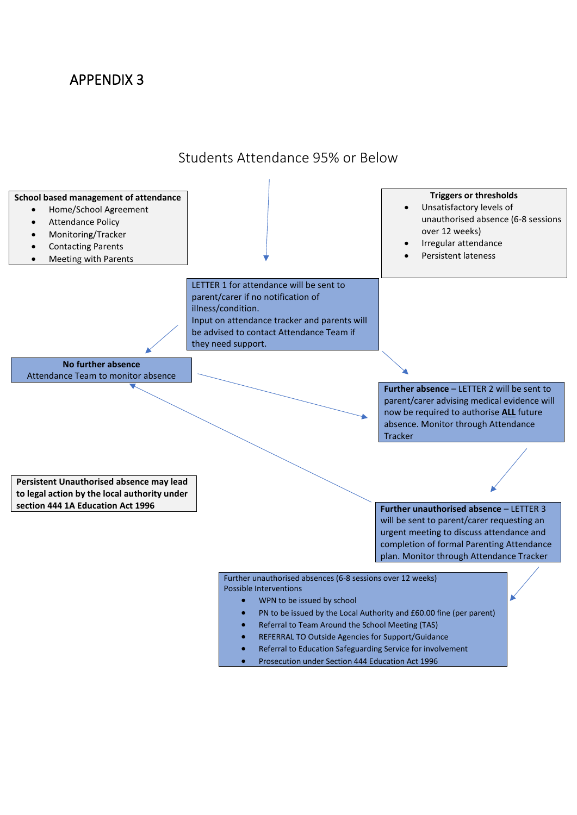

Students Attendance 95% or Below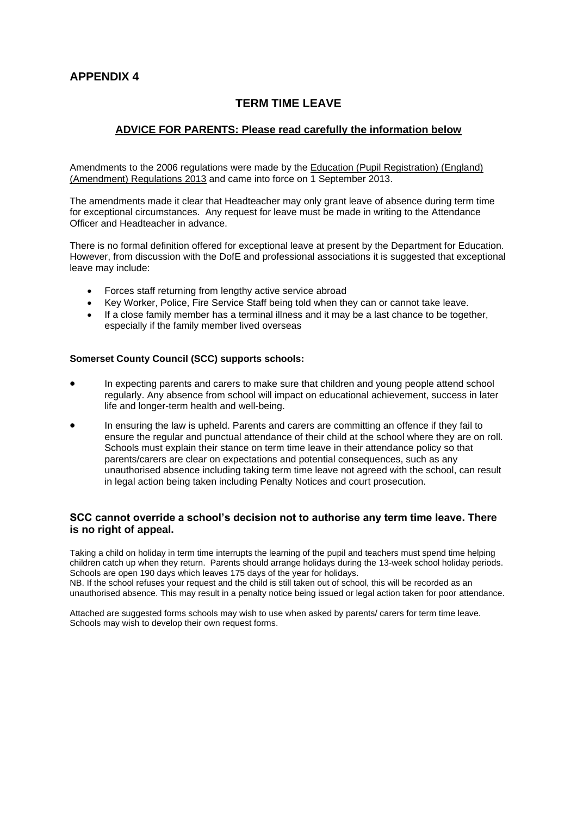### **TERM TIME LEAVE**

### **ADVICE FOR PARENTS: Please read carefully the information below**

Amendments to the 2006 regulations were made by the [Education \(Pupil Registration\) \(England\)](http://www.legislation.gov.uk/uksi/2013/756/contents/made)  [\(Amendment\) Regulations 2013](http://www.legislation.gov.uk/uksi/2013/756/contents/made) and came into force on 1 September 2013.

The amendments made it clear that Headteacher may only grant leave of absence during term time for exceptional circumstances. Any request for leave must be made in writing to the Attendance Officer and Headteacher in advance.

There is no formal definition offered for exceptional leave at present by the Department for Education. However, from discussion with the DofE and professional associations it is suggested that exceptional leave may include:

- Forces staff returning from lengthy active service abroad
- Key Worker, Police, Fire Service Staff being told when they can or cannot take leave.
- If a close family member has a terminal illness and it may be a last chance to be together, especially if the family member lived overseas

#### **Somerset County Council (SCC) supports schools:**

- In expecting parents and carers to make sure that children and young people attend school regularly. Any absence from school will impact on educational achievement, success in later life and longer-term health and well-being.
- In ensuring the law is upheld. Parents and carers are committing an offence if they fail to ensure the regular and punctual attendance of their child at the school where they are on roll. Schools must explain their stance on term time leave in their attendance policy so that parents/carers are clear on expectations and potential consequences, such as any unauthorised absence including taking term time leave not agreed with the school, can result in legal action being taken including Penalty Notices and court prosecution.

### **SCC cannot override a school's decision not to authorise any term time leave. There is no right of appeal.**

Taking a child on holiday in term time interrupts the learning of the pupil and teachers must spend time helping children catch up when they return. Parents should arrange holidays during the 13-week school holiday periods. Schools are open 190 days which leaves 175 days of the year for holidays. NB. If the school refuses your request and the child is still taken out of school, this will be recorded as an unauthorised absence. This may result in a penalty notice being issued or legal action taken for poor attendance.

Attached are suggested forms schools may wish to use when asked by parents/ carers for term time leave. Schools may wish to develop their own request forms.